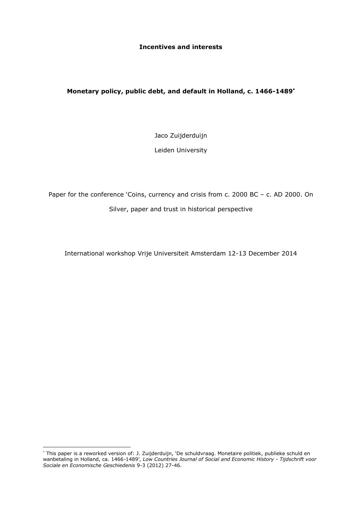### **Incentives and interests**

## **Monetary policy, public debt, and default in Holland, c. 1466-1489**

Jaco Zuijderduijn

Leiden University

Paper for the conference 'Coins, currency and crisis from c. 2000 BC - c. AD 2000. On Silver, paper and trust in historical perspective

International workshop Vrije Universiteit Amsterdam 12-13 December 2014

<sup>\*</sup> This paper is a reworked version of: J. Zuijderduijn, `De schuldvraag. Monetaire politiek, publieke schuld en wanbetaling in Holland, ca. 1466-1489', *Low Countries Journal of Social and Economic History - Tijdschrift voor Sociale en Economische Geschiedenis* 9-3 (2012) 27-46.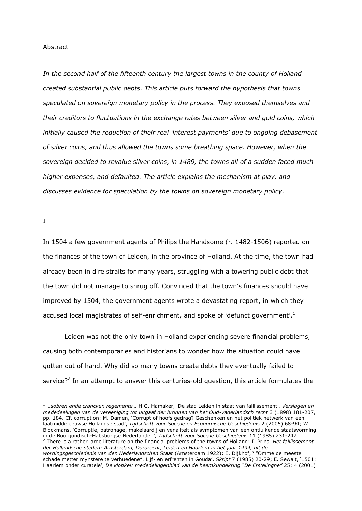#### Abstract

*In the second half of the fifteenth century the largest towns in the county of Holland created substantial public debts. This article puts forward the hypothesis that towns speculated on sovereign monetary policy in the process. They exposed themselves and their creditors to fluctuations in the exchange rates between silver and gold coins, which initially caused the reduction of their real 'interest payments' due to ongoing debasement of silver coins, and thus allowed the towns some breathing space. However, when the sovereign decided to revalue silver coins, in 1489, the towns all of a sudden faced much higher expenses, and defaulted. The article explains the mechanism at play, and discusses evidence for speculation by the towns on sovereign monetary policy.*

I

-

In 1504 a few government agents of Philips the Handsome (r. 1482-1506) reported on the finances of the town of Leiden, in the province of Holland. At the time, the town had already been in dire straits for many years, struggling with a towering public debt that the town did not manage to shrug off. Convinced that the town's finances should have improved by 1504, the government agents wrote a devastating report, in which they accused local magistrates of self-enrichment, and spoke of 'defunct government'.<sup>1</sup>

Leiden was not the only town in Holland experiencing severe financial problems, causing both contemporaries and historians to wonder how the situation could have gotten out of hand. Why did so many towns create debts they eventually failed to service?<sup>2</sup> In an attempt to answer this centuries-old question, this article formulates the

Haarlem onder curatele', *De klopkei: mededelingenblad van de heemkundekring "De Erstelinghe"* 25: 4 (2001)

<sup>1</sup> *…sobren ende crancken regemente…* H.G. Hamaker, 'De stad Leiden in staat van faillissement', *Verslagen en mededeelingen van de vereeniging tot uitgaaf der bronnen van het Oud-vaderlandsch recht* 3 (1898) 181-207, pp. 184. Cf. corruption: M. Damen, 'Corrupt of hoofs gedrag? Geschenken en het politiek netwerk van een laatmiddeleeuwse Hollandse stad', *Tijdschrift voor Sociale en Economische Geschiedenis* 2 (2005) 68-94; W. Blockmans, 'Corruptie, patronage, makelaardij en venaliteit als symptomen van een ontluikende staatsvorming in de Bourgondisch-Habsburgse Nederlanden', *Tijdschrift voor Sociale Geschiedenis* 11 (1985) 231-247. <sup>2</sup> There is a rather large literature on the financial problems of the towns of Holland: I. Prins, *Het faillissement der Hollandsche steden: Amsterdam, Dordrecht, Leiden en Haarlem in het jaar 1494, uit de wordingsgeschiedenis van den Nederlandschen Staat* (Amsterdam 1922); E. Dijkhof, ' "Omme de meeste schade metter mynstere te verhuedene". Lijf- en erfrenten in Gouda', *Skript* 7 (1985) 20-29; E. Sewalt, '1501: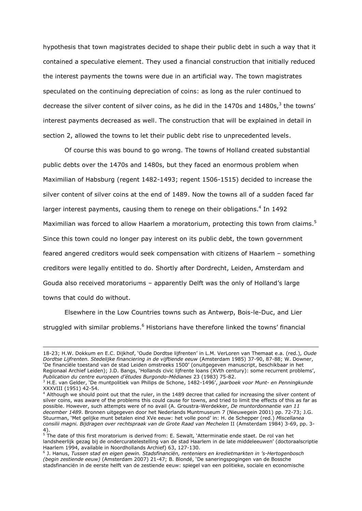hypothesis that town magistrates decided to shape their public debt in such a way that it contained a speculative element. They used a financial construction that initially reduced the interest payments the towns were due in an artificial way. The town magistrates speculated on the continuing depreciation of coins: as long as the ruler continued to decrease the silver content of silver coins, as he did in the 1470s and 1480s,<sup>3</sup> the towns' interest payments decreased as well. The construction that will be explained in detail in section 2, allowed the towns to let their public debt rise to unprecedented levels.

Of course this was bound to go wrong. The towns of Holland created substantial public debts over the 1470s and 1480s, but they faced an enormous problem when Maximilian of Habsburg (regent 1482-1493; regent 1506-1515) decided to increase the silver content of silver coins at the end of 1489. Now the towns all of a sudden faced far larger interest payments, causing them to renege on their obligations.<sup>4</sup> In 1492 Maximilian was forced to allow Haarlem a moratorium, protecting this town from claims.<sup>5</sup> Since this town could no longer pay interest on its public debt, the town government feared angered creditors would seek compensation with citizens of Haarlem – something creditors were legally entitled to do. Shortly after Dordrecht, Leiden, Amsterdam and Gouda also received moratoriums – apparently Delft was the only of Holland's large towns that could do without.

Elsewhere in the Low Countries towns such as Antwerp, Bois-le-Duc, and Lier struggled with similar problems.<sup>6</sup> Historians have therefore linked the towns' financial

l

<sup>18-23;</sup> H.W. Dokkum en E.C. Dijkhof, 'Oude Dordtse lijfrenten' in L.M. VerLoren van Themaat e.a. (red.), *Oude Dordtse Lijfrenten. Stedelijke financiering in de vijftiende eeuw* (Amsterdam 1985) 37-90, 87-88; W. Downer, 'De financiële toestand van de stad Leiden omstreeks 1500' (onuitgegeven manuscript, beschikbaar in het Regionaal Archief Leiden); J.D. Bangs, 'Hollands civic lijfrente loans (XVth century): some recurrent problems', *Publication du centre europeen d'études Burgondo-Médianes* 23 (1983) 75-82.

<sup>3</sup> H.E. van Gelder, 'De muntpolitiek van Philips de Schone, 1482-1496', *jaarboek voor Munt- en Penningkunde*  XXXVIII (1951) 42-54.

<sup>4</sup> Although we should point out that the ruler, in the 1489 decree that called for increasing the silver content of silver coins, was aware of the problems this could cause for towns, and tried to limit the effects of this as far as possible. However, such attempts were of no avail (A. Groustra-Werdekker, *De muntordonnantie van 11 december 1489*. Bronnen uitgegeven door het Nederlands Muntmuseum 7 (Nieuwegein 2001) pp. 72-73; J.G. Stuurman, 'Met gelijke munt betalen eind XVe eeuw: het volle pond' in: H. de Schepper (red.) *Miscellanea consilii magni. Bijdragen over rechtspraak van de Grote Raad van Mechelen* II (Amsterdam 1984) 3-69, pp. 3- 4).

<sup>&</sup>lt;sup>5</sup> The date of this first moratorium is derived from: E. Sewalt, `Atterminatie ende staet. De rol van het landsheerlijk gezag bij de ondercuratelestelling van de stad Haarlem in de late middeleeuwen' (doctoraalscriptie Haarlem 1994, available in Noordhollands Archief) 63, 127-130.

<sup>6</sup> J. Hanus, *Tussen stad en eigen gewin. Stadsfinanciën, renteniers en kredietmarkten in 's-Hertogenbosch (begin zestiende eeuw)* (Amsterdam 2007) 21-47; B. Blondé, 'De saneringspogingen van de Bossche stadsfinanciën in de eerste helft van de zestiende eeuw: spiegel van een politieke, sociale en economische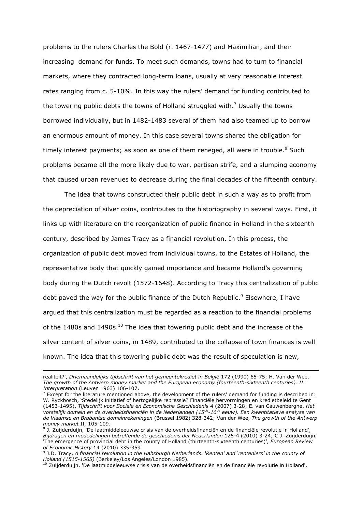problems to the rulers Charles the Bold (r. 1467-1477) and Maximilian, and their increasing demand for funds. To meet such demands, towns had to turn to financial markets, where they contracted long-term loans, usually at very reasonable interest rates ranging from c. 5-10%. In this way the rulers' demand for funding contributed to the towering public debts the towns of Holland struggled with.<sup>7</sup> Usually the towns borrowed individually, but in 1482-1483 several of them had also teamed up to borrow an enormous amount of money. In this case several towns shared the obligation for timely interest payments; as soon as one of them reneged, all were in trouble.<sup>8</sup> Such problems became all the more likely due to war, partisan strife, and a slumping economy that caused urban revenues to decrease during the final decades of the fifteenth century.

The idea that towns constructed their public debt in such a way as to profit from the depreciation of silver coins, contributes to the historiography in several ways. First, it links up with literature on the reorganization of public finance in Holland in the sixteenth century, described by James Tracy as a financial revolution. In this process, the organization of public debt moved from individual towns, to the Estates of Holland, the representative body that quickly gained importance and became Holland's governing body during the Dutch revolt (1572-1648). According to Tracy this centralization of public debt paved the way for the public finance of the Dutch Republic.<sup>9</sup> Elsewhere, I have argued that this centralization must be regarded as a reaction to the financial problems of the 1480s and 1490s.<sup>10</sup> The idea that towering public debt and the increase of the silver content of silver coins, in 1489, contributed to the collapse of town finances is well known. The idea that this towering public debt was the result of speculation is new,

ł

realiteit?', *Driemaandelijks tijdschrift van het gemeentekrediet in België* 172 (1990) 65-75; H. Van der Wee, *The growth of the Antwerp money market and the European economy (fourteenth-sixteenth centuries). II. Interpretation* (Leuven 1963) 106-107.

 $<sup>7</sup>$  Except for the literature mentioned above, the development of the rulers' demand for funding is described in:</sup> W. Ryckbosch, 'Stedelijk initiatief of hertogelijke repressie? Financiële hervormingen en kredietbeleid te Gent (1453-1495), *Tijdschrift voor Sociale en Economische Geschiedenis* 4 (2007) 3-28; E. van Cauwenberghe, *Het vorstelijk domein en de overheidsfinanciën in de Nederlanden (15de -16de eeuw). Een kwantitatieve analyse van de Vlaamse en Brabantse domeinrekeningen* (Brussel 1982) 328-342; Van der Wee, *The growth of the Antwerp money market* II*,* 105-109.

<sup>&</sup>lt;sup>8</sup> J. Zuijderduijn, 'De laatmiddeleeuwse crisis van de overheidsfinanciën en de financiële revolutie in Holland', *Bijdragen en mededelingen betreffende de geschiedenis der Nederlanden* 125-4 (2010) 3-24; C.J. Zuijderduijn, 'The emergence of provincial debt in the county of Holland (thirteenth-sixteenth centuries)', *European Review of Economic History* 14 (2010) 335-359.

<sup>9</sup> J.D. Tracy, *A financial revolution in the Habsburgh Netherlands. 'Renten' and 'renteniers' in the county of Holland (1515-1565)* (Berkeley/Los Angeles/London 1985).

 $^{10}$  Zuijderduijn, 'De laatmiddeleeuwse crisis van de overheidsfinanciën en de financiële revolutie in Holland'.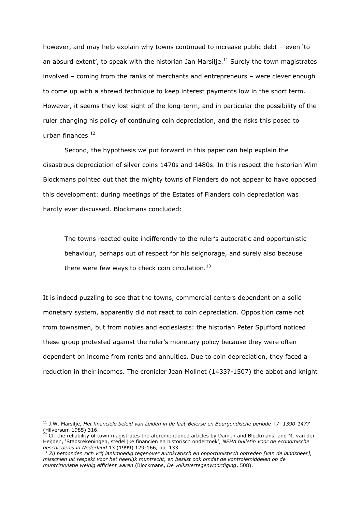however, and may help explain why towns continued to increase public debt – even 'to an absurd extent', to speak with the historian Jan Marsilje. $^{11}$  Surely the town magistrates involved – coming from the ranks of merchants and entrepreneurs – were clever enough to come up with a shrewd technique to keep interest payments low in the short term. However, it seems they lost sight of the long-term, and in particular the possibility of the ruler changing his policy of continuing coin depreciation, and the risks this posed to urban finances. 12

Second, the hypothesis we put forward in this paper can help explain the disastrous depreciation of silver coins 1470s and 1480s. In this respect the historian Wim Blockmans pointed out that the mighty towns of Flanders do not appear to have opposed this development: during meetings of the Estates of Flanders coin depreciation was hardly ever discussed. Blockmans concluded:

The towns reacted quite indifferently to the ruler's autocratic and opportunistic behaviour, perhaps out of respect for his seignorage, and surely also because there were few ways to check coin circulation. $^{13}$ 

It is indeed puzzling to see that the towns, commercial centers dependent on a solid monetary system, apparently did not react to coin depreciation. Opposition came not from townsmen, but from nobles and ecclesiasts: the historian Peter Spufford noticed these group protested against the ruler's monetary policy because they were often dependent on income from rents and annuities. Due to coin depreciation, they faced a reduction in their incomes. The cronicler Jean Molinet (1433?-1507) the abbot and knight

<sup>11</sup> J.W. Marsilje, *Het financiële beleid van Leiden in de laat-Beierse en Bourgondische periode +/- 1390-1477* (Hilversum 1985) 316.

<sup>12</sup> Cf. the reliability of town magistrates the aforementioned articles by Damen and Blockmans, and M. van der Heijden, 'Stadsrekeningen, stedelijke financiën en historisch onderzoek', *NEHA bulletin voor de economische geschiedenis in Nederland* 13 (1999) 129-166, pp. 133.

<sup>13</sup> *Zij betoonden zich vrij lankmoedig tegenover autokratisch en opportunistisch optreden [van de landsheer], misschien uit respekt voor het heerlijk muntrecht, en beslist ook omdat de kontrolemiddelen op de muntcirkulatie weinig efficiënt waren* (Blockmans, *De volksvertegenwoordiging*, 508).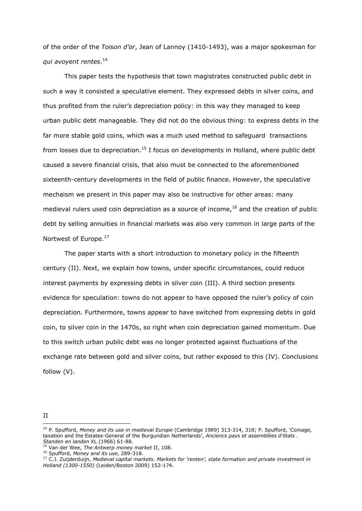of the order of the *Toison d'or*, Jean of Lannoy (1410-1493), was a major spokesman for *qui avoyent rentes*. 14

This paper tests the hypothesis that town magistrates constructed public debt in such a way it consisted a speculative element. They expressed debts in silver coins, and thus profited from the ruler's depreciation policy: in this way they managed to keep urban public debt manageable. They did not do the obvious thing: to express debts in the far more stable gold coins, which was a much used method to safeguard transactions from losses due to depreciation.<sup>15</sup> I focus on developments in Holland, where public debt caused a severe financial crisis, that also must be connected to the aforementioned sixteenth-century developments in the field of public finance. However, the speculative mechaism we present in this paper may also be instructive for other areas: many medieval rulers used coin depreciation as a source of income,  $16$  and the creation of public debt by selling annuities in financial markets was also very common in large parts of the Nortwest of Europe.<sup>17</sup>

The paper starts with a short introduction to monetary policy in the fifteenth century (II). Next, we explain how towns, under specific circumstances, could reduce interest payments by expressing debts in silver coin (III). A third section presents evidence for speculation: towns do not appear to have opposed the ruler's policy of coin depreciation. Furthermore, towns appear to have switched from expressing debts in gold coin, to silver coin in the 1470s, so right when coin depreciation gained momentum. Due to this switch urban public debt was no longer protected against fluctuations of the exchange rate between gold and silver coins, but rather exposed to this (IV). Conclusions follow (V).

II -

<sup>14</sup> P. Spufford, *Money and its use in medieval Europe* (Cambridge 1989) 313-314, 318; P. Spufford, 'Coinage, taxation and the Estates-General of the Burgundian Netherlands', *Anciencs pays et assemblées d'états . Standen en landen* XL (1966) 61-88.

<sup>15</sup> Van der Wee, *The Antwerp money market* II, 108.

<sup>16</sup> Spufford, *Money and its use*, 289-318.

<sup>17</sup> C.J. Zuijderduijn, *Medieval capital markets. Markets for 'renten', state formation and private investment in Holland (1300-1550)* (Leiden/Boston 2009) 152-174.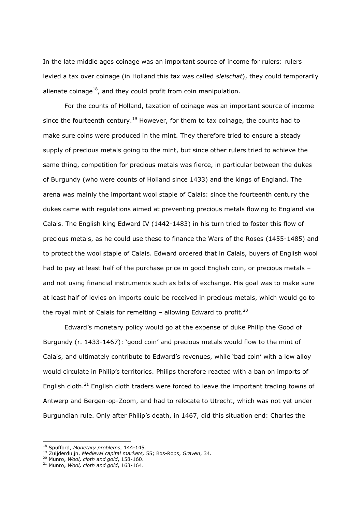In the late middle ages coinage was an important source of income for rulers: rulers levied a tax over coinage (in Holland this tax was called *sleischat*), they could temporarily alienate coinage<sup>18</sup>, and they could profit from coin manipulation.

For the counts of Holland, taxation of coinage was an important source of income since the fourteenth century.<sup>19</sup> However, for them to tax coinage, the counts had to make sure coins were produced in the mint. They therefore tried to ensure a steady supply of precious metals going to the mint, but since other rulers tried to achieve the same thing, competition for precious metals was fierce, in particular between the dukes of Burgundy (who were counts of Holland since 1433) and the kings of England. The arena was mainly the important wool staple of Calais: since the fourteenth century the dukes came with regulations aimed at preventing precious metals flowing to England via Calais. The English king Edward IV (1442-1483) in his turn tried to foster this flow of precious metals, as he could use these to finance the Wars of the Roses (1455-1485) and to protect the wool staple of Calais. Edward ordered that in Calais, buyers of English wool had to pay at least half of the purchase price in good English coin, or precious metals and not using financial instruments such as bills of exchange. His goal was to make sure at least half of levies on imports could be received in precious metals, which would go to the royal mint of Calais for remelting  $-$  allowing Edward to profit.<sup>20</sup>

Edward's monetary policy would go at the expense of duke Philip the Good of Burgundy (r. 1433-1467): 'good coin' and precious metals would flow to the mint of Calais, and ultimately contribute to Edward's revenues, while 'bad coin' with a low alloy would circulate in Philip's territories. Philips therefore reacted with a ban on imports of English cloth.<sup>21</sup> English cloth traders were forced to leave the important trading towns of Antwerp and Bergen-op-Zoom, and had to relocate to Utrecht, which was not yet under Burgundian rule. Only after Philip's death, in 1467, did this situation end: Charles the

<sup>18</sup> Spufford, *Monetary problems*, 144-145.

<sup>19</sup> Zuijderduijn, *Medieval capital markets,* 55; Bos-Rops, *Graven*, 34*.*

<sup>20</sup> Munro, *Wool, cloth and gold*, 158-160.

<sup>21</sup> Munro, *Wool, cloth and gold*, 163-164.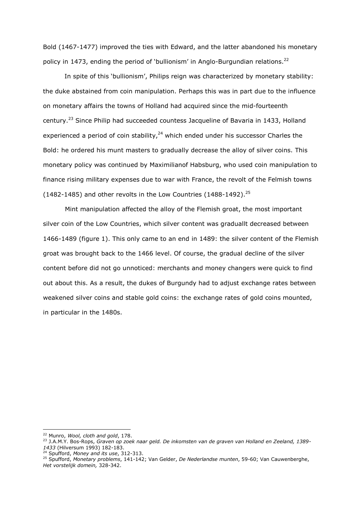Bold (1467-1477) improved the ties with Edward, and the latter abandoned his monetary policy in 1473, ending the period of 'bullionism' in Anglo-Burgundian relations.<sup>22</sup>

In spite of this 'bullionism', Philips reign was characterized by monetary stability: the duke abstained from coin manipulation. Perhaps this was in part due to the influence on monetary affairs the towns of Holland had acquired since the mid-fourteenth century.<sup>23</sup> Since Philip had succeeded countess Jacqueline of Bavaria in 1433, Holland experienced a period of coin stability, $24$  which ended under his successor Charles the Bold: he ordered his munt masters to gradually decrease the alloy of silver coins. This monetary policy was continued by Maximilianof Habsburg, who used coin manipulation to finance rising military expenses due to war with France, the revolt of the Felmish towns (1482-1485) and other revolts in the Low Countries (1488-1492).<sup>25</sup>

Mint manipulation affected the alloy of the Flemish groat, the most important silver coin of the Low Countries, which silver content was graduallt decreased between 1466-1489 (figure 1). This only came to an end in 1489: the silver content of the Flemish groat was brought back to the 1466 level. Of course, the gradual decline of the silver content before did not go unnoticed: merchants and money changers were quick to find out about this. As a result, the dukes of Burgundy had to adjust exchange rates between weakened silver coins and stable gold coins: the exchange rates of gold coins mounted, in particular in the 1480s.

<sup>22</sup> Munro, *Wool, cloth and gold*, 178.

<sup>23</sup> J.A.M.Y. Bos-Rops, *Graven op zoek naar geld. De inkomsten van de graven van Holland en Zeeland, 1389- 1433* (Hilversum 1993) 182-183.

<sup>24</sup> Spufford, *Money and its use*, 312-313.

<sup>25</sup> Spufford, *Monetary problems*, 141-142; Van Gelder, *De Nederlandse munten*, 59-60; Van Cauwenberghe, *Het vorstelijk domein,* 328-342.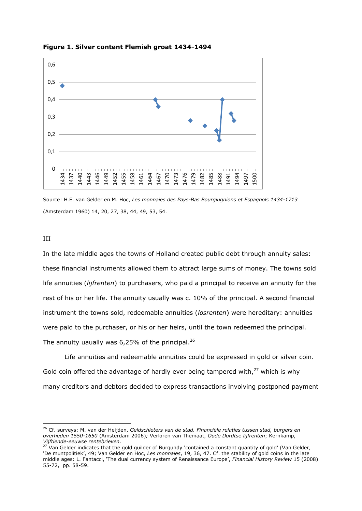

**Figure 1. Silver content Flemish groat 1434-1494**

Source: H.E. van Gelder en M. Hoc, *Les monnaies des Pays-Bas Bourgiugnions et Espagnols 1434-1713*  (Amsterdam 1960) 14, 20, 27, 38, 44, 49, 53, 54.

III

-

In the late middle ages the towns of Holland created public debt through annuity sales: these financial instruments allowed them to attract large sums of money. The towns sold life annuities (*lijfrenten*) to purchasers, who paid a principal to receive an annuity for the rest of his or her life. The annuity usually was c. 10% of the principal. A second financial instrument the towns sold, redeemable annuities (*losrenten*) were hereditary: annuities were paid to the purchaser, or his or her heirs, until the town redeemed the principal. The annuity uaually was 6,25% of the principal.<sup>26</sup>

Life annuities and redeemable annuities could be expressed in gold or silver coin. Gold coin offered the advantage of hardly ever being tampered with, $^{27}$  which is why many creditors and debtors decided to express transactions involving postponed payment

<sup>26</sup> Cf. surveys: M. van der Heijden, *Geldschieters van de stad. Financiële relaties tussen stad, burgers en overheden 1550-1650* (Amsterdam 2006)*;* Verloren van Themaat, *Oude Dordtse lijfrenten*; Kernkamp, *Vijftiende-eeuwse rentebrieven*.

<sup>27</sup> Van Gelder indicates that the gold guilder of Burgundy 'contained a constant quantity of gold' (Van Gelder, 'De muntpolitiek', 49; Van Gelder en Hoc, *Les monnaies*, 19, 36, 47. Cf. the stability of gold coins in the late middle ages: L. Fantacci, 'The dual currency system of Renaissance Europe', *Financial History Review* 15 (2008) 55-72, pp. 58-59.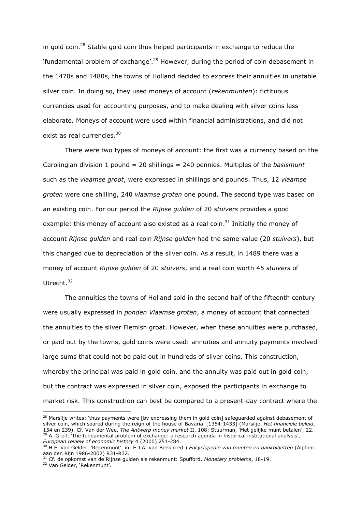in gold coin.<sup>28</sup> Stable gold coin thus helped participants in exchange to reduce the 'fundamental problem of exchange'.<sup>29</sup> However, during the period of coin debasement in the 1470s and 1480s, the towns of Holland decided to express their annuities in unstable silver coin. In doing so, they used moneys of account (*rekenmunten*): fictituous currencies used for accounting purposes, and to make dealing with silver coins less elaborate. Moneys of account were used within financial administrations, and did not exist as real currencies.<sup>30</sup>

There were two types of moneys of account: the first was a currency based on the Carolingian division 1 pound = 20 shillings = 240 pennies. Multiples of the *basismunt*  such as the *vlaamse groot*, were expressed in shillings and pounds. Thus, 12 *vlaamse groten* were one shilling, 240 *vlaamse groten* one pound. The second type was based on an existing coin. For our period the *Rijnse gulden* of 20 *stuivers* provides a good example: this money of account also existed as a real coin.<sup>31</sup> Initially the money of account *Rijnse gulden* and real coin *Rijnse gulden* had the same value (20 *stuivers*), but this changed due to depreciation of the silver coin. As a result, in 1489 there was a money of account *Rijnse gulden* of 20 *stuivers*, and a real coin worth 45 *stuivers* of Utrecht.<sup>32</sup>

The annuities the towns of Holland sold in the second half of the fifteenth century were usually expressed in *ponden Vlaamse groten*, a money of account that connected the annuities to the silver Flemish groat. However, when these annuities were purchased, or paid out by the towns, gold coins were used: annuities and annuity payments involved large sums that could not be paid out in hundreds of silver coins. This construction, whereby the principal was paid in gold coin, and the annuity was paid out in gold coin, but the contract was expressed in silver coin, exposed the participants in exchange to market risk. This construction can best be compared to a present-day contract where the

 $28$  Marsilje writes: 'thus payments were [by expressing them in gold coin] safeguarded against debasement of silver coin, which soared during the reign of the house of Bavaria' [1354-1433] (Marsilje, *Het financiële beleid*, 154 en 239). Cf. Van der Wee, *The Antwerp money market* II, 108; Stuurman, 'Met gelijke munt betalen', 22. <sup>29</sup> A. Greif, 'The fundamental problem of exchange: a research agenda in historical institutional analysis', *European review of economic history* 4 (2000) 251-284.

<sup>30</sup> H.E. van Gelder, 'Rekenmunt', in: E.J.A. van Beek (red.) *Encyclopedie van munten en bankbiljetten* (Alphen aan den Rijn 1986-2002) R31-R32.

<sup>31</sup> Cf. de opkomst van de Rijnse gulden als rekenmunt: Spufford, *Monetary problems*, 18-19.

<sup>32</sup> Van Gelder, 'Rekenmunt'.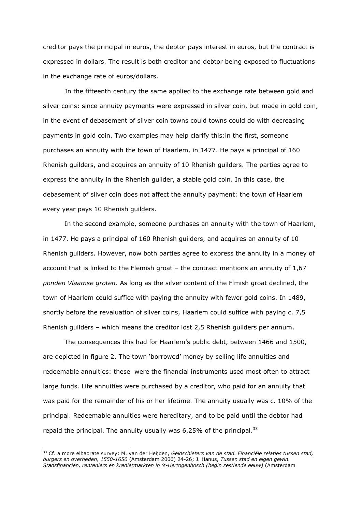creditor pays the principal in euros, the debtor pays interest in euros, but the contract is expressed in dollars. The result is both creditor and debtor being exposed to fluctuations in the exchange rate of euros/dollars.

In the fifteenth century the same applied to the exchange rate between gold and silver coins: since annuity payments were expressed in silver coin, but made in gold coin, in the event of debasement of silver coin towns could towns could do with decreasing payments in gold coin. Two examples may help clarify this:in the first, someone purchases an annuity with the town of Haarlem, in 1477. He pays a principal of 160 Rhenish guilders, and acquires an annuity of 10 Rhenish guilders. The parties agree to express the annuity in the Rhenish guilder, a stable gold coin. In this case, the debasement of silver coin does not affect the annuity payment: the town of Haarlem every year pays 10 Rhenish guilders.

In the second example, someone purchases an annuity with the town of Haarlem, in 1477. He pays a principal of 160 Rhenish guilders, and acquires an annuity of 10 Rhenish guilders. However, now both parties agree to express the annuity in a money of account that is linked to the Flemish groat – the contract mentions an annuity of 1,67 *ponden Vlaamse groten*. As long as the silver content of the Flmish groat declined, the town of Haarlem could suffice with paying the annuity with fewer gold coins. In 1489, shortly before the revaluation of silver coins, Haarlem could suffice with paying c. 7,5 Rhenish guilders – which means the creditor lost 2,5 Rhenish guilders per annum.

The consequences this had for Haarlem's public debt, between 1466 and 1500, are depicted in figure 2. The town 'borrowed' money by selling life annuities and redeemable annuities: these were the financial instruments used most often to attract large funds. Life annuities were purchased by a creditor, who paid for an annuity that was paid for the remainder of his or her lifetime. The annuity usually was c. 10% of the principal. Redeemable annuities were hereditary, and to be paid until the debtor had repaid the principal. The annuity usually was 6,25% of the principal.<sup>33</sup>

<sup>33</sup> Cf. a more elbaorate survey: M. van der Heijden, *Geldschieters van de stad. Financiële relaties tussen stad, burgers en overheden, 1550-1650* (Amsterdam 2006) 24-26; J. Hanus, *Tussen stad en eigen gewin. Stadsfinanciën, renteniers en kredietmarkten in 's-Hertogenbosch (begin zestiende eeuw)* (Amsterdam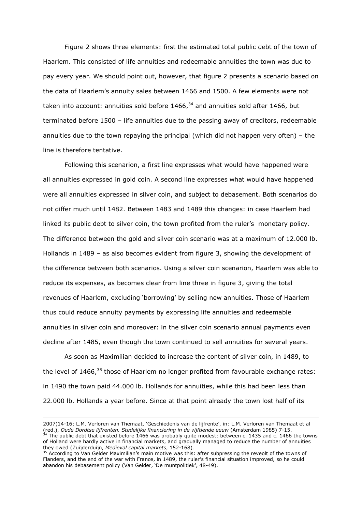Figure 2 shows three elements: first the estimated total public debt of the town of Haarlem. This consisted of life annuities and redeemable annuities the town was due to pay every year. We should point out, however, that figure 2 presents a scenario based on the data of Haarlem's annuity sales between 1466 and 1500. A few elements were not taken into account: annuities sold before  $1466<sup>34</sup>$  and annuities sold after 1466, but terminated before 1500 – life annuities due to the passing away of creditors, redeemable annuities due to the town repaying the principal (which did not happen very often) – the line is therefore tentative.

Following this scenarion, a first line expresses what would have happened were all annuities expressed in gold coin. A second line expresses what would have happened were all annuities expressed in silver coin, and subject to debasement. Both scenarios do not differ much until 1482. Between 1483 and 1489 this changes: in case Haarlem had linked its public debt to silver coin, the town profited from the ruler's monetary policy. The difference between the gold and silver coin scenario was at a maximum of 12.000 lb. Hollands in 1489 – as also becomes evident from figure 3, showing the development of the difference between both scenarios. Using a silver coin scenarion, Haarlem was able to reduce its expenses, as becomes clear from line three in figure 3, giving the total revenues of Haarlem, excluding 'borrowing' by selling new annuities. Those of Haarlem thus could reduce annuity payments by expressing life annuities and redeemable annuities in silver coin and moreover: in the silver coin scenario annual payments even decline after 1485, even though the town continued to sell annuities for several years.

As soon as Maximilian decided to increase the content of silver coin, in 1489, to the level of  $1466$ ,<sup>35</sup> those of Haarlem no longer profited from favourable exchange rates: in 1490 the town paid 44.000 lb. Hollands for annuities, while this had been less than 22.000 lb. Hollands a year before. Since at that point already the town lost half of its

l

<sup>2007)14-16;</sup> L.M. Verloren van Themaat, 'Geschiedenis van de lijfrente', in: L.M. Verloren van Themaat et al (red.), *Oude Dordtse lijfrenten. Stedelijke financiering in de vijftiende eeuw* (Amsterdam 1985) 7-15. The public debt that existed before 1466 was probably quite modest: between c. 1435 and c. 1466 the towns

of Holland were hardly active in financial markets, and gradually managed to reduce the number of annuities they owed (Zuijderduijn, *Medieval capital markets*, 152-168).

<sup>&</sup>lt;sup>35</sup> According to Van Gelder Maximilian's main motive was this: after subpressing the reveolt of the towns of Flanders, and the end of the war with France, in 1489, the ruler's financial situation improved, so he could abandon his debasement policy (Van Gelder, 'De muntpolitiek', 48-49).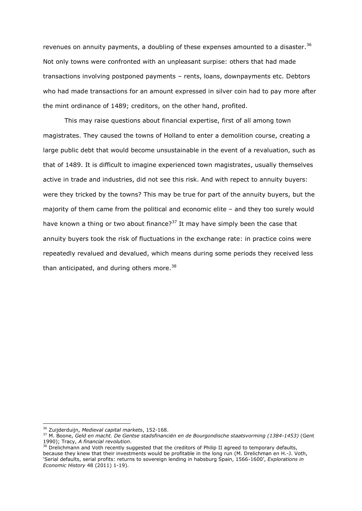revenues on annuity payments, a doubling of these expenses amounted to a disaster.<sup>36</sup> Not only towns were confronted with an unpleasant surpise: others that had made transactions involving postponed payments – rents, loans, downpayments etc. Debtors who had made transactions for an amount expressed in silver coin had to pay more after the mint ordinance of 1489; creditors, on the other hand, profited.

This may raise questions about financial expertise, first of all among town magistrates. They caused the towns of Holland to enter a demolition course, creating a large public debt that would become unsustainable in the event of a revaluation, such as that of 1489. It is difficult to imagine experienced town magistrates, usually themselves active in trade and industries, did not see this risk. And with repect to annuity buyers: were they tricked by the towns? This may be true for part of the annuity buyers, but the majority of them came from the political and economic elite – and they too surely would have known a thing or two about finance?<sup>37</sup> It may have simply been the case that annuity buyers took the risk of fluctuations in the exchange rate: in practice coins were repeatedly revalued and devalued, which means during some periods they received less than anticipated, and during others more.<sup>38</sup>

<sup>36</sup> Zuijderduijn, *Medieval capital markets*, 152-168.

<sup>37</sup> M. Boone, *Geld en macht. De Gentse stadsfinanciën en de Bourgondische staatsvorming (1384-1453)* (Gent 1990); Tracy, *A financial revolution*.

<sup>&</sup>lt;sup>38</sup> Drelichmann and Voth recently suggested that the creditors of Philip II agreed to temporary defaults, because they knew that their investments would be profitable in the long run (M. Drelichman en H.-J. Voth, 'Serial defaults, serial profits: returns to sovereign lending in habsburg Spain, 1566-1600', *Explorations in Economic History* 48 (2011) 1-19).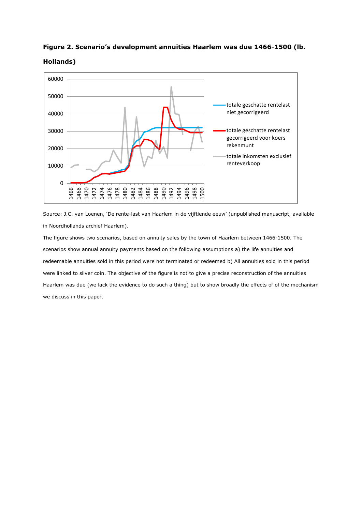



**Hollands)**

Source: J.C. van Loenen, 'De rente-last van Haarlem in de vijftiende eeuw' (unpublished manuscript, available in Noordhollands archief Haarlem).

The figure shows two scenarios, based on annuity sales by the town of Haarlem between 1466-1500. The scenarios show annual annuity payments based on the following assumptions a) the life annuities and redeemable annuities sold in this period were not terminated or redeemed b) All annuities sold in this period were linked to silver coin. The objective of the figure is not to give a precise reconstruction of the annuities Haarlem was due (we lack the evidence to do such a thing) but to show broadly the effects of of the mechanism we discuss in this paper.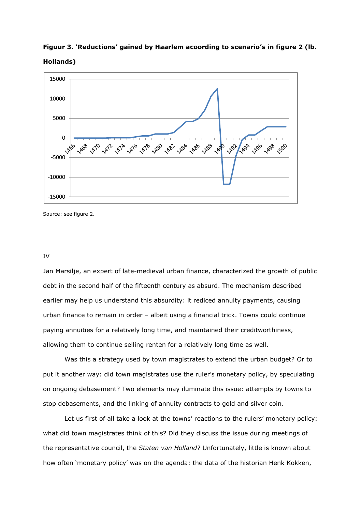**Figuur 3. 'Reductions' gained by Haarlem acoording to scenario's in figure 2 (lb. Hollands)**



Source: see figure 2.

#### IV

Jan Marsilje, an expert of late-medieval urban finance, characterized the growth of public debt in the second half of the fifteenth century as absurd. The mechanism described earlier may help us understand this absurdity: it rediced annuity payments, causing urban finance to remain in order – albeit using a financial trick. Towns could continue paying annuities for a relatively long time, and maintained their creditworthiness, allowing them to continue selling renten for a relatively long time as well.

Was this a strategy used by town magistrates to extend the urban budget? Or to put it another way: did town magistrates use the ruler's monetary policy, by speculating on ongoing debasement? Two elements may iluminate this issue: attempts by towns to stop debasements, and the linking of annuity contracts to gold and silver coin.

Let us first of all take a look at the towns' reactions to the rulers' monetary policy: what did town magistrates think of this? Did they discuss the issue during meetings of the representative council, the *Staten van Holland*? Unfortunately, little is known about how often 'monetary policy' was on the agenda: the data of the historian Henk Kokken,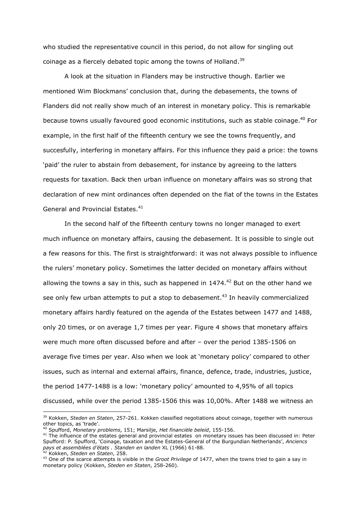who studied the representative council in this period, do not allow for singling out coinage as a fiercely debated topic among the towns of Holland.<sup>39</sup>

A look at the situation in Flanders may be instructive though. Earlier we mentioned Wim Blockmans' conclusion that, during the debasements, the towns of Flanders did not really show much of an interest in monetary policy. This is remarkable because towns usually favoured good economic institutions, such as stable coinage.<sup>40</sup> For example, in the first half of the fifteenth century we see the towns frequently, and succesfully, interfering in monetary affairs. For this influence they paid a price: the towns 'paid' the ruler to abstain from debasement, for instance by agreeing to the latters requests for taxation. Back then urban influence on monetary affairs was so strong that declaration of new mint ordinances often depended on the fiat of the towns in the Estates General and Provincial Estates. 41

In the second half of the fifteenth century towns no longer managed to exert much influence on monetary affairs, causing the debasement. It is possible to single out a few reasons for this. The first is straightforward: it was not always possible to influence the rulers' monetary policy. Sometimes the latter decided on monetary affairs without allowing the towns a say in this, such as happened in  $1474<sup>42</sup>$  But on the other hand we see only few urban attempts to put a stop to debasement.<sup>43</sup> In heavily commercialized monetary affairs hardly featured on the agenda of the Estates between 1477 and 1488, only 20 times, or on average 1,7 times per year. Figure 4 shows that monetary affairs were much more often discussed before and after – over the period 1385-1506 on average five times per year. Also when we look at 'monetary policy' compared to other issues, such as internal and external affairs, finance, defence, trade, industries, justice, the period 1477-1488 is a low: 'monetary policy' amounted to 4,95% of all topics discussed, while over the period 1385-1506 this was 10,00%. After 1488 we witness an

<sup>42</sup> Kokken, *Steden en Staten*, 258.

<sup>39</sup> Kokken, *Steden en Staten*, 257-261. Kokken classified negotiations about coinage, together with numerous other topics, as 'trade'.

<sup>40</sup> Spufford, *Monetary problems*, 151; Marsilje, *Het financiële beleid*, 155-156.

<sup>41</sup> The influence of the estates general and provincial estates on monetary issues has been discussed in: Peter Spufford: P. Spufford, 'Coinage, taxation and the Estates-General of the Burgundian Netherlands', *Anciencs pays et assemblées d'états . Standen en landen* XL (1966) 61-88.

<sup>43</sup> One of the scarce attempts is visible in the *Groot Privilege* of 1477, when the towns tried to gain a say in monetary policy (Kokken, *Steden en Staten*, 258-260).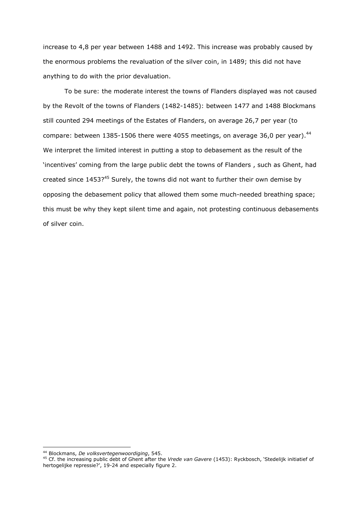increase to 4,8 per year between 1488 and 1492. This increase was probably caused by the enormous problems the revaluation of the silver coin, in 1489; this did not have anything to do with the prior devaluation.

To be sure: the moderate interest the towns of Flanders displayed was not caused by the Revolt of the towns of Flanders (1482-1485): between 1477 and 1488 Blockmans still counted 294 meetings of the Estates of Flanders, on average 26,7 per year (to compare: between 1385-1506 there were 4055 meetings, on average 36,0 per year). $44$ We interpret the limited interest in putting a stop to debasement as the result of the 'incentives' coming from the large public debt the towns of Flanders , such as Ghent, had created since 1453?<sup>45</sup> Surely, the towns did not want to further their own demise by opposing the debasement policy that allowed them some much-needed breathing space; this must be why they kept silent time and again, not protesting continuous debasements of silver coin.

<sup>44</sup> Blockmans, *De volksvertegenwoordiging*, 545.

<sup>45</sup> Cf. the increasing public debt of Ghent after the *Vrede van Gavere* (1453): Ryckbosch, 'Stedelijk initiatief of hertogelijke repressie?', 19-24 and especially figure 2.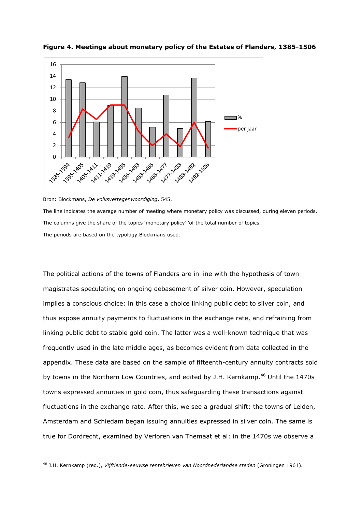

**Figure 4. Meetings about monetary policy of the Estates of Flanders, 1385-1506**

Bron: Blockmans, *De volksvertegenwoordiging*, 545.

The line indicates the average number of meeting where monetary policy was discussed, during eleven periods. The columns give the share of the topics 'monetary policy' 'of the total number of topics. The periods are based on the typology Blockmans used.

The political actions of the towns of Flanders are in line with the hypothesis of town magistrates speculating on ongoing debasement of silver coin. However, speculation implies a conscious choice: in this case a choice linking public debt to silver coin, and thus expose annuity payments to fluctuations in the exchange rate, and refraining from linking public debt to stable gold coin. The latter was a well-known technique that was frequently used in the late middle ages, as becomes evident from data collected in the appendix. These data are based on the sample of fifteenth-century annuity contracts sold by towns in the Northern Low Countries, and edited by J.H. Kernkamp.<sup>46</sup> Until the 1470s towns expressed annuities in gold coin, thus safeguarding these transactions against fluctuations in the exchange rate. After this, we see a gradual shift: the towns of Leiden, Amsterdam and Schiedam began issuing annuities expressed in silver coin. The same is true for Dordrecht, examined by Verloren van Themaat et al: in the 1470s we observe a

<sup>-</sup><sup>46</sup> J.H. Kernkamp (red.), *Vijftiende-eeuwse rentebrieven van Noordnederlandse steden* (Groningen 1961).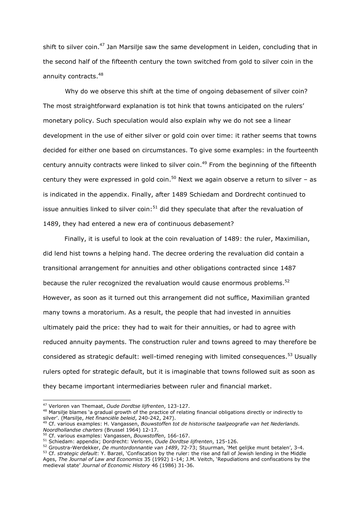shift to silver coin.<sup>47</sup> Jan Marsilje saw the same development in Leiden, concluding that in the second half of the fifteenth century the town switched from gold to silver coin in the annuity contracts.<sup>48</sup>

Why do we observe this shift at the time of ongoing debasement of silver coin? The most straightforward explanation is tot hink that towns anticipated on the rulers' monetary policy. Such speculation would also explain why we do not see a linear development in the use of either silver or gold coin over time: it rather seems that towns decided for either one based on circumstances. To give some examples: in the fourteenth century annuity contracts were linked to silver coin.<sup>49</sup> From the beginning of the fifteenth century they were expressed in gold coin.<sup>50</sup> Next we again observe a return to silver  $-$  as is indicated in the appendix. Finally, after 1489 Schiedam and Dordrecht continued to issue annuities linked to silver coin: $51$  did they speculate that after the revaluation of 1489, they had entered a new era of continuous debasement?

Finally, it is useful to look at the coin revaluation of 1489: the ruler, Maximilian, did lend hist towns a helping hand. The decree ordering the revaluation did contain a transitional arrangement for annuities and other obligations contracted since 1487 because the ruler recognized the revaluation would cause enormous problems.<sup>52</sup> However, as soon as it turned out this arrangement did not suffice, Maximilian granted many towns a moratorium. As a result, the people that had invested in annuities ultimately paid the price: they had to wait for their annuities, or had to agree with reduced annuity payments. The construction ruler and towns agreed to may therefore be considered as strategic default: well-timed reneging with limited consequences.<sup>53</sup> Usually rulers opted for strategic default, but it is imaginable that towns followed suit as soon as they became important intermediaries between ruler and financial market.

<sup>47</sup> Verloren van Themaat, *Oude Dordtse lijfrenten*, 123-127.

<sup>&</sup>lt;sup>48</sup> Marsilie blames 'a gradual growth of the practice of relating financial obligations directly or indirectly to silver'. (Marsilje, *Het financiële beleid*, 240-242, 247).

<sup>49</sup> Cf. various examples: H. Vangassen, *Bouwstoffen tot de historische taalgeografie van het Nederlands. Noordhollandse charters* (Brussel 1964) 12-17.

<sup>50</sup> Cf. various examples: Vangassen, *Bouwstoffen*, 166-167.

<sup>51</sup> Schiedam: appendix; Dordrecht: Verloren, *Oude Dordtse lijfrenten*, 125-126.

<sup>52</sup> Groustra-Werdekker, *De muntordonnantie van 1489*, 72-73; Stuurman, 'Met gelijke munt betalen', 3-4.

<sup>53</sup> Cf. *strategic default*: Y. Barzel, 'Confiscation by the ruler: the rise and fall of Jewish lending in the Middle Ages, *The Journal of Law and Economics* 35 (1992) 1-14; J.M. Veitch, 'Repudiations and confiscations by the medieval state' *Journal of Economic History* 46 (1986) 31-36.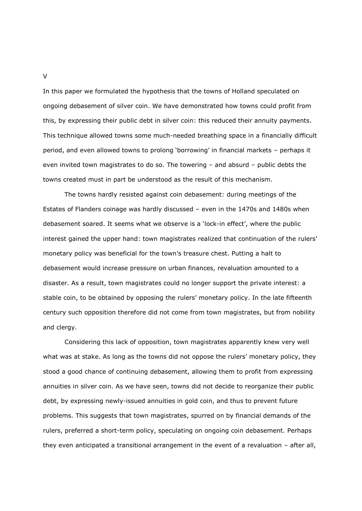In this paper we formulated the hypothesis that the towns of Holland speculated on ongoing debasement of silver coin. We have demonstrated how towns could profit from this, by expressing their public debt in silver coin: this reduced their annuity payments. This technique allowed towns some much-needed breathing space in a financially difficult period, and even allowed towns to prolong 'borrowing' in financial markets – perhaps it even invited town magistrates to do so. The towering – and absurd – public debts the towns created must in part be understood as the result of this mechanism.

The towns hardly resisted against coin debasement: during meetings of the Estates of Flanders coinage was hardly discussed – even in the 1470s and 1480s when debasement soared. It seems what we observe is a 'lock-in effect', where the public interest gained the upper hand: town magistrates realized that continuation of the rulers' monetary policy was beneficial for the town's treasure chest. Putting a halt to debasement would increase pressure on urban finances, revaluation amounted to a disaster. As a result, town magistrates could no longer support the private interest: a stable coin, to be obtained by opposing the rulers' monetary policy. In the late fifteenth century such opposition therefore did not come from town magistrates, but from nobility and clergy.

Considering this lack of opposition, town magistrates apparently knew very well what was at stake. As long as the towns did not oppose the rulers' monetary policy, they stood a good chance of continuing debasement, allowing them to profit from expressing annuities in silver coin. As we have seen, towns did not decide to reorganize their public debt, by expressing newly-issued annuities in gold coin, and thus to prevent future problems. This suggests that town magistrates, spurred on by financial demands of the rulers, preferred a short-term policy, speculating on ongoing coin debasement. Perhaps they even anticipated a transitional arrangement in the event of a revaluation – after all,

V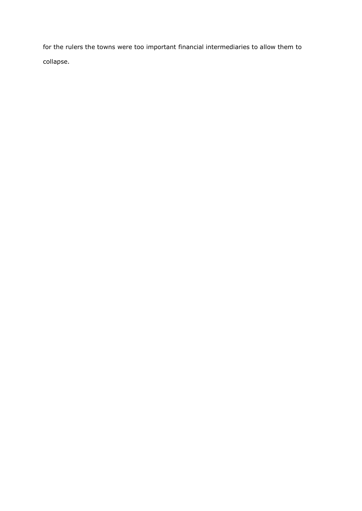for the rulers the towns were too important financial intermediaries to allow them to collapse.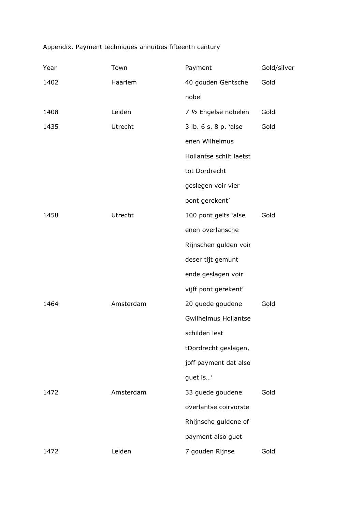# Appendix. Payment techniques annuities fifteenth century

| Year | Town      | Payment                     | Gold/silver |
|------|-----------|-----------------------------|-------------|
| 1402 | Haarlem   | 40 gouden Gentsche          | Gold        |
|      |           | nobel                       |             |
| 1408 | Leiden    | 7 1/2 Engelse nobelen       | Gold        |
| 1435 | Utrecht   | 3 lb. 6 s. 8 p. 'alse       | Gold        |
|      |           | enen Wilhelmus              |             |
|      |           | Hollantse schilt laetst     |             |
|      |           | tot Dordrecht               |             |
|      |           | geslegen voir vier          |             |
|      |           | pont gerekent'              |             |
| 1458 | Utrecht   | 100 pont gelts 'alse        | Gold        |
|      |           | enen overlansche            |             |
|      |           | Rijnschen gulden voir       |             |
|      |           | deser tijt gemunt           |             |
|      |           | ende geslagen voir          |             |
|      |           | vijff pont gerekent'        |             |
| 1464 | Amsterdam | 20 guede goudene            | Gold        |
|      |           | <b>Gwilhelmus Hollantse</b> |             |
|      |           | schilden lest               |             |
|      |           | tDordrecht geslagen,        |             |
|      |           | joff payment dat also       |             |
|      |           | guet is'                    |             |
| 1472 | Amsterdam | 33 guede goudene            | Gold        |
|      |           | overlantse coirvorste       |             |
|      |           | Rhijnsche guldene of        |             |
|      |           | payment also guet           |             |
| 1472 | Leiden    | 7 gouden Rijnse             | Gold        |